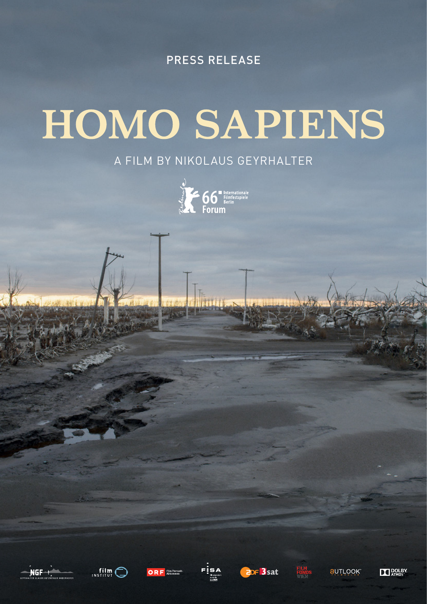Press Release

# HOMO SAPIENS

# A film by Nikolaus Geyrhalter

















**TT POLBY**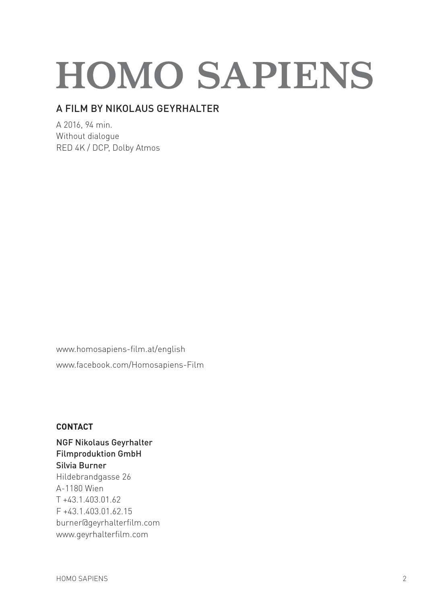# **HOMO SAPIENS**

# A film by Nikolaus Geyrhalter

A 2016, 94 min. Without dialogue RED 4K / DCP, Dolby Atmos

www.homosapiens-film.at/english [www.facebook.com/Homosapiens-Film](https://www.facebook.com/Homosapiens-Film-679053928901226)

# **Contact**

NGF Nikolaus Geyrhalter Filmproduktion GmbH Silvia Burner Hildebrandgasse 26 A-1180 Wien T +43.1.403.01.62 F +43.1.403.01.62.15 burner@geyrhalterfilm.com www.geyrhalterfilm.com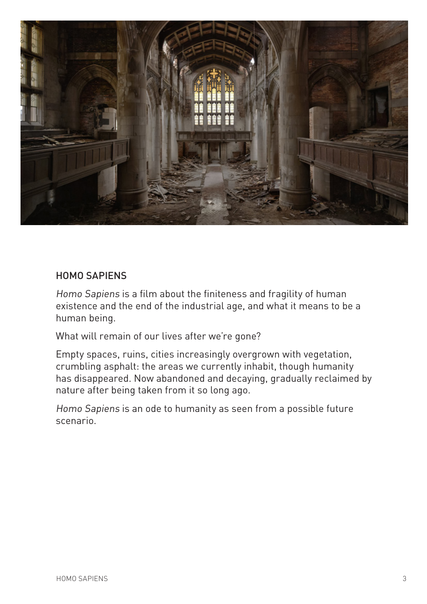

# Homo Sapiens

Homo Sapiens is a film about the finiteness and fragility of human existence and the end of the industrial age, and what it means to be a human being.

What will remain of our lives after we're gone?

Empty spaces, ruins, cities increasingly overgrown with vegetation, crumbling asphalt: the areas we currently inhabit, though humanity has disappeared. Now abandoned and decaying, gradually reclaimed by nature after being taken from it so long ago.

Homo Sapiens is an ode to humanity as seen from a possible future scenario.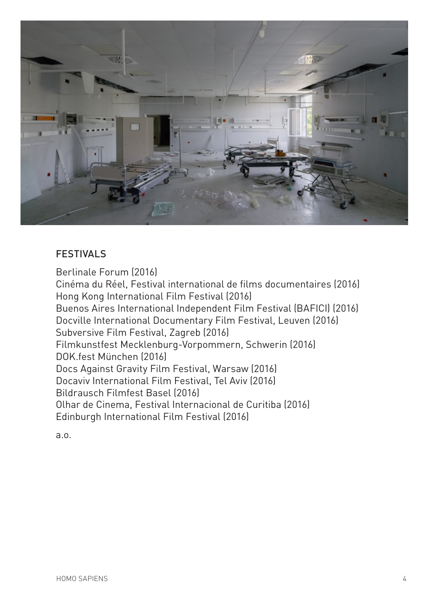

# **FESTIVALS**

Berlinale Forum (2016) Cinéma du Réel, Festival international de films documentaires (2016) Hong Kong International Film Festival (2016) Buenos Aires International Independent Film Festival (BAFICI) (2016) Docville International Documentary Film Festival, Leuven (2016) Subversive Film Festival, Zagreb (2016) Filmkunstfest Mecklenburg-Vorpommern, Schwerin (2016) DOK.fest München (2016) Docs Against Gravity Film Festival, Warsaw (2016) Docaviv International Film Festival, Tel Aviv (2016) Bildrausch Filmfest Basel (2016) Olhar de Cinema, Festival Internacional de Curitiba (2016) Edinburgh International Film Festival (2016)

a.o.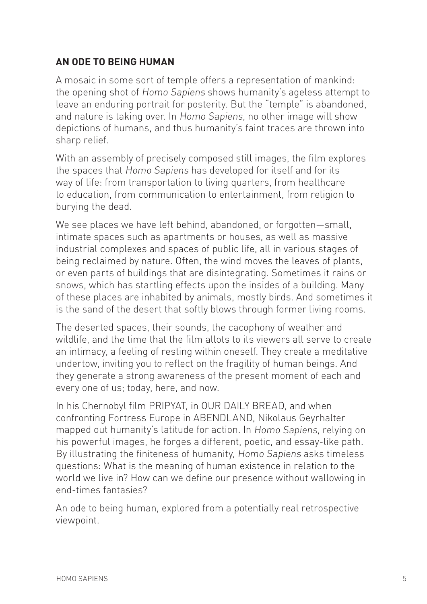# **An Ode to Being Human**

A mosaic in some sort of temple offers a representation of mankind: the opening shot of Homo Sapiens shows humanity's ageless attempt to leave an enduring portrait for posterity. But the "temple" is abandoned, and nature is taking over. In Homo Sapiens, no other image will show depictions of humans, and thus humanity's faint traces are thrown into sharp relief.

With an assembly of precisely composed still images, the film explores the spaces that Homo Sapiens has developed for itself and for its way of life: from transportation to living quarters, from healthcare to education, from communication to entertainment, from religion to burying the dead.

We see places we have left behind, abandoned, or forgotten-small, intimate spaces such as apartments or houses, as well as massive industrial complexes and spaces of public life, all in various stages of being reclaimed by nature. Often, the wind moves the leaves of plants, or even parts of buildings that are disintegrating. Sometimes it rains or snows, which has startling effects upon the insides of a building. Many of these places are inhabited by animals, mostly birds. And sometimes it is the sand of the desert that softly blows through former living rooms.

The deserted spaces, their sounds, the cacophony of weather and wildlife, and the time that the film allots to its viewers all serve to create an intimacy, a feeling of resting within oneself. They create a meditative undertow, inviting you to reflect on the fragility of human beings. And they generate a strong awareness of the present moment of each and every one of us; today, here, and now.

In his Chernobyl film PRIPYAT, in OUR DAILY BREAD, and when confronting Fortress Europe in ABENDLAND, Nikolaus Geyrhalter mapped out humanity's latitude for action. In Homo Sapiens, relying on his powerful images, he forges a different, poetic, and essay-like path. By illustrating the finiteness of humanity, Homo Sapiens asks timeless questions: What is the meaning of human existence in relation to the world we live in? How can we define our presence without wallowing in end-times fantasies?

An ode to being human, explored from a potentially real retrospective viewpoint.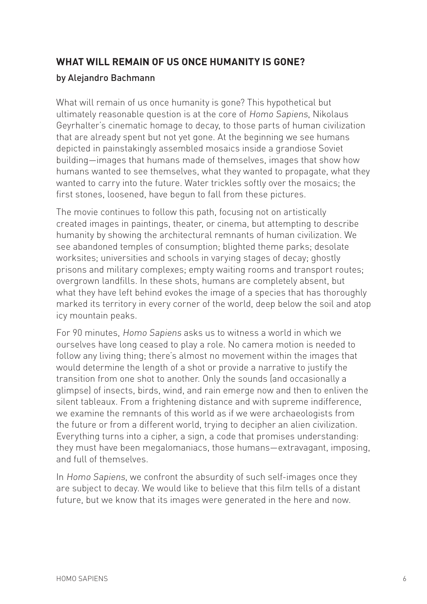# **What will remain of us once humanity is gone?**

# by Alejandro Bachmann

What will remain of us once humanity is gone? This hypothetical but ultimately reasonable question is at the core of Homo Sapiens, Nikolaus Geyrhalter's cinematic homage to decay, to those parts of human civilization that are already spent but not yet gone. At the beginning we see humans depicted in painstakingly assembled mosaics inside a grandiose Soviet building—images that humans made of themselves, images that show how humans wanted to see themselves, what they wanted to propagate, what they wanted to carry into the future. Water trickles softly over the mosaics; the first stones, loosened, have begun to fall from these pictures.

The movie continues to follow this path, focusing not on artistically created images in paintings, theater, or cinema, but attempting to describe humanity by showing the architectural remnants of human civilization. We see abandoned temples of consumption; blighted theme parks; desolate worksites; universities and schools in varying stages of decay; ghostly prisons and military complexes; empty waiting rooms and transport routes; overgrown landfills. In these shots, humans are completely absent, but what they have left behind evokes the image of a species that has thoroughly marked its territory in every corner of the world, deep below the soil and atop icy mountain peaks.

For 90 minutes, Homo Sapiens asks us to witness a world in which we ourselves have long ceased to play a role. No camera motion is needed to follow any living thing; there's almost no movement within the images that would determine the length of a shot or provide a narrative to justify the transition from one shot to another. Only the sounds (and occasionally a glimpse) of insects, birds, wind, and rain emerge now and then to enliven the silent tableaux. From a frightening distance and with supreme indifference, we examine the remnants of this world as if we were archaeologists from the future or from a different world, trying to decipher an alien civilization. Everything turns into a cipher, a sign, a code that promises understanding: they must have been megalomaniacs, those humans—extravagant, imposing, and full of themselves.

In Homo Sapiens, we confront the absurdity of such self-images once they are subject to decay. We would like to believe that this film tells of a distant future, but we know that its images were generated in the here and now.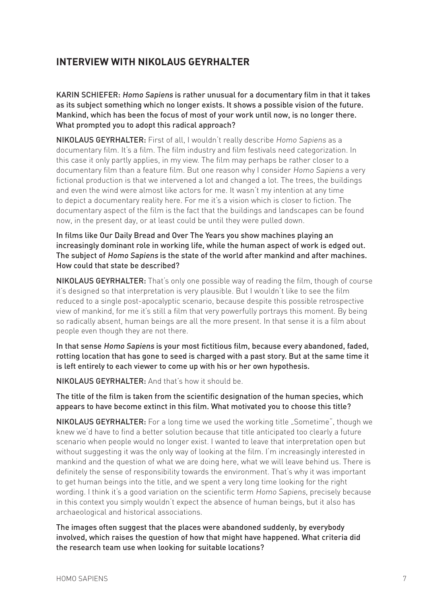# **INTERVIEW WITH NIKOLAUS GEYRHALTER**

KARIN SCHIEFER: Homo Sapiens is rather unusual for a documentary film in that it takes as its subject something which no longer exists. It shows a possible vision of the future. Mankind, which has been the focus of most of your work until now, is no longer there. What prompted you to adopt this radical approach?

NIKOLAUS GEYRHALTER: First of all, I wouldn't really describe Homo Sapiens as a documentary film. It's a film. The film industry and film festivals need categorization. In this case it only partly applies, in my view. The film may perhaps be rather closer to a documentary film than a feature film. But one reason why I consider Homo Sapiens a very fictional production is that we intervened a lot and changed a lot. The trees, the buildings and even the wind were almost like actors for me. It wasn't my intention at any time to depict a documentary reality here. For me it's a vision which is closer to fiction. The documentary aspect of the film is the fact that the buildings and landscapes can be found now, in the present day, or at least could be until they were pulled down.

In films like Our Daily Bread and Over The Years you show machines playing an increasingly dominant role in working life, while the human aspect of work is edged out. The subject of Homo Sapiens is the state of the world after mankind and after machines. How could that state be described?

NIKOLAUS GEYRHALTER: That's only one possible way of reading the film, though of course it's designed so that interpretation is very plausible. But I wouldn't like to see the film reduced to a single post-apocalyptic scenario, because despite this possible retrospective view of mankind, for me it's still a film that very powerfully portrays this moment. By being so radically absent, human beings are all the more present. In that sense it is a film about people even though they are not there.

In that sense Homo Sapiens is your most fictitious film, because every abandoned, faded, rotting location that has gone to seed is charged with a past story. But at the same time it is left entirely to each viewer to come up with his or her own hypothesis.

NIKOLAUS GEYRHALTER: And that's how it should be.

The title of the film is taken from the scientific designation of the human species, which appears to have become extinct in this film. What motivated you to choose this title?

NIKOLAUS GEYRHALTER: For a long time we used the working title ..Sometime", though we knew we'd have to find a better solution because that title anticipated too clearly a future scenario when people would no longer exist. I wanted to leave that interpretation open but without suggesting it was the only way of looking at the film. I'm increasingly interested in mankind and the question of what we are doing here, what we will leave behind us. There is definitely the sense of responsibility towards the environment. That's why it was important to get human beings into the title, and we spent a very long time looking for the right wording. I think it's a good variation on the scientific term Homo Sapiens, precisely because in this context you simply wouldn't expect the absence of human beings, but it also has archaeological and historical associations.

The images often suggest that the places were abandoned suddenly, by everybody involved, which raises the question of how that might have happened. What criteria did the research team use when looking for suitable locations?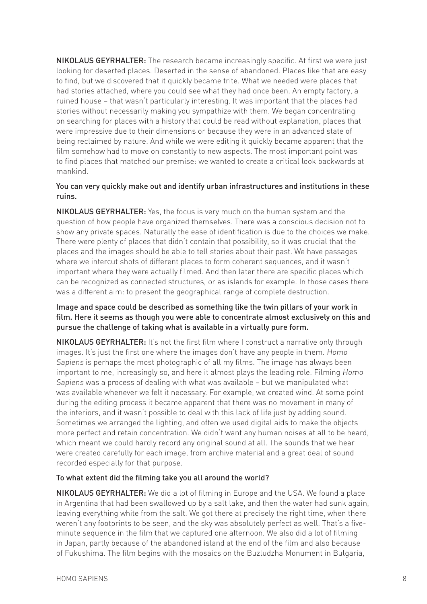NIKOLAUS GEYRHALTER: The research became increasingly specific. At first we were just looking for deserted places. Deserted in the sense of abandoned. Places like that are easy to find, but we discovered that it quickly became trite. What we needed were places that had stories attached, where you could see what they had once been. An empty factory, a ruined house – that wasn't particularly interesting. It was important that the places had stories without necessarily making you sympathize with them. We began concentrating on searching for places with a history that could be read without explanation, places that were impressive due to their dimensions or because they were in an advanced state of being reclaimed by nature. And while we were editing it quickly became apparent that the film somehow had to move on constantly to new aspects. The most important point was to find places that matched our premise: we wanted to create a critical look backwards at mankind.

#### You can very quickly make out and identify urban infrastructures and institutions in these ruins.

NIKOLAUS GEYRHALTER: Yes, the focus is very much on the human system and the question of how people have organized themselves. There was a conscious decision not to show any private spaces. Naturally the ease of identification is due to the choices we make. There were plenty of places that didn't contain that possibility, so it was crucial that the places and the images should be able to tell stories about their past. We have passages where we intercut shots of different places to form coherent sequences, and it wasn't important where they were actually filmed. And then later there are specific places which can be recognized as connected structures, or as islands for example. In those cases there was a different aim: to present the geographical range of complete destruction.

#### Image and space could be described as something like the twin pillars of your work in film. Here it seems as though you were able to concentrate almost exclusively on this and pursue the challenge of taking what is available in a virtually pure form.

**NIKOLAUS GEYRHALTER:** It's not the first film where I construct a narrative only through images. It's just the first one where the images don't have any people in them. Homo Sapiens is perhaps the most photographic of all my films. The image has always been important to me, increasingly so, and here it almost plays the leading role. Filming Homo Sapiens was a process of dealing with what was available – but we manipulated what was available whenever we felt it necessary. For example, we created wind. At some point during the editing process it became apparent that there was no movement in many of the interiors, and it wasn't possible to deal with this lack of life just by adding sound. Sometimes we arranged the lighting, and often we used digital aids to make the objects more perfect and retain concentration. We didn't want any human noises at all to be heard, which meant we could hardly record any original sound at all. The sounds that we hear were created carefully for each image, from archive material and a great deal of sound recorded especially for that purpose.

#### To what extent did the filming take you all around the world?

NIKOLAUS GEYRHALTER: We did a lot of filming in Europe and the USA. We found a place in Argentina that had been swallowed up by a salt lake, and then the water had sunk again, leaving everything white from the salt. We got there at precisely the right time, when there weren't any footprints to be seen, and the sky was absolutely perfect as well. That's a fiveminute sequence in the film that we captured one afternoon. We also did a lot of filming in Japan, partly because of the abandoned island at the end of the film and also because of Fukushima. The film begins with the mosaics on the Buzludzha Monument in Bulgaria,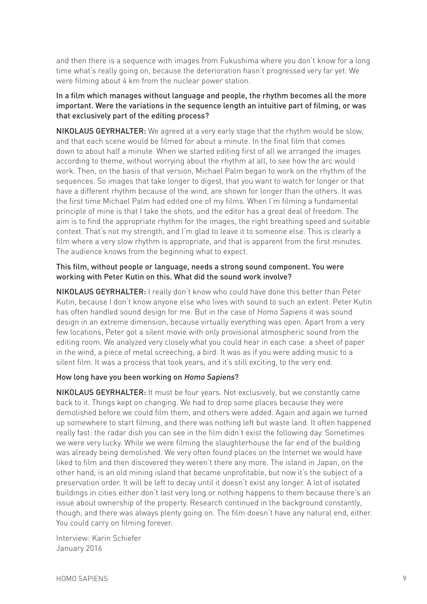and then there is a sequence with images from Fukushima where you don't know for a long time what's really going on, because the deterioration hasn't progressed very far yet. We were filming about 4 km from the nuclear power station.

#### In a film which manages without language and people, the rhythm becomes all the more important. Were the variations in the sequence length an intuitive part of filming, or was that exclusively part of the editing process?

NIKOLAUS GEYRHALTER: We agreed at a very early stage that the rhythm would be slow, and that each scene would be filmed for about a minute. In the final film that comes down to about half a minute. When we started editing first of all we arranged the images according to theme, without worrying about the rhythm at all, to see how the arc would work. Then, on the basis of that version, Michael Palm began to work on the rhythm of the sequences. So images that take longer to digest, that you want to watch for longer or that have a different rhythm because of the wind, are shown for longer than the others. It was the first time Michael Palm had edited one of my films. When I'm filming a fundamental principle of mine is that I take the shots, and the editor has a great deal of freedom. The aim is to find the appropriate rhythm for the images, the right breathing speed and suitable context. That's not my strength, and I'm glad to leave it to someone else. This is clearly a film where a very slow rhythm is appropriate, and that is apparent from the first minutes. The audience knows from the beginning what to expect.

#### This film, without people or language, needs a strong sound component. You were working with Peter Kutin on this. What did the sound work involve?

NIKOLAUS GEYRHALTER: I really don't know who could have done this better than Peter Kutin, because I don't know anyone else who lives with sound to such an extent. Peter Kutin has often handled sound design for me. But in the case of Homo Sapiens it was sound design in an extreme dimension, because virtually everything was open. Apart from a very few locations, Peter got a silent movie with only provisional atmospheric sound from the editing room. We analyzed very closely what you could hear in each case: a sheet of paper in the wind, a piece of metal screeching, a bird. It was as if you were adding music to a silent film. It was a process that took years, and it's still exciting, to the very end.

## How long have you been working on Homo Sapiens?

NIKOLAUS GEYRHALTER: It must be four years. Not exclusively, but we constantly came back to it. Things kept on changing. We had to drop some places because they were demolished before we could film them, and others were added. Again and again we turned up somewhere to start filming, and there was nothing left but waste land. It often happened really fast: the radar dish you can see in the film didn't exist the following day. Sometimes we were very lucky. While we were filming the slaughterhouse the far end of the building was already being demolished. We very often found places on the Internet we would have liked to film and then discovered they weren't there any more. The island in Japan, on the other hand, is an old mining island that became unprofitable, but now it's the subject of a preservation order. It will be left to decay until it doesn't exist any longer. A lot of isolated buildings in cities either don't last very long or nothing happens to them because there's an issue about ownership of the property. Research continued in the background constantly, though, and there was always plenty going on. The film doesn't have any natural end, either. You could carry on filming forever.

Interview: Karin Schiefer January 2016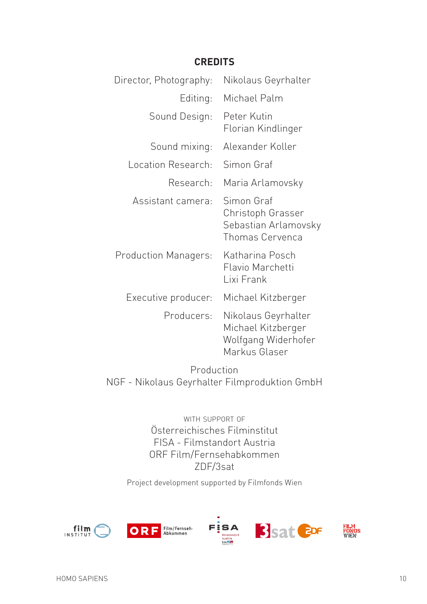# **Credits**

| Director, Photography:      | Nikolaus Geyrhalter                                                               |
|-----------------------------|-----------------------------------------------------------------------------------|
| Editing:                    | Michael Palm                                                                      |
| Sound Design:               | Peter Kutin<br>Florian Kindlinger                                                 |
| Sound mixing:               | Alexander Koller                                                                  |
| Location Research:          | Simon Graf                                                                        |
| Research:                   | Maria Arlamovsky                                                                  |
| Assistant camera:           | Simon Graf<br>Christoph Grasser<br>Sebastian Arlamovsky<br>Thomas Cervenca        |
| <b>Production Managers:</b> | Katharina Posch<br>Flavio Marchetti<br>Lixi Frank                                 |
| Executive producer:         | Michael Kitzberger                                                                |
| Producers:                  | Nikolaus Geyrhalter<br>Michael Kitzberger<br>Wolfgang Widerhofer<br>Markus Glaser |

Production NGF - Nikolaus Geyrhalter Filmproduktion GmbH

> with support of Österreichisches Filminstitut FISA - Filmstandort Austria ORF Film/Fernsehabkommen ZDF/3sat

Project development supported by Filmfonds Wien

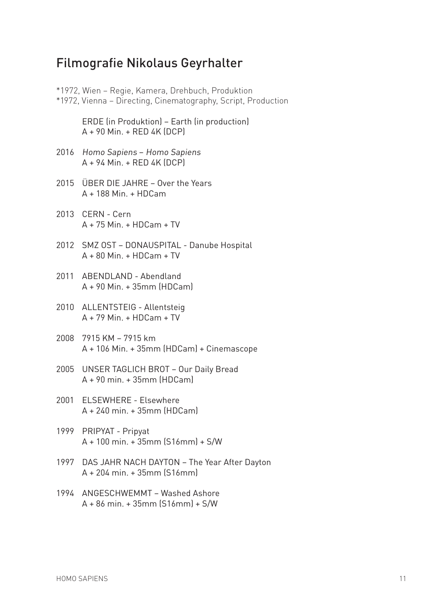# Filmografie Nikolaus Geyrhalter

|      | *1972, Wien - Regie, Kamera, Drehbuch, Produktion<br>*1972, Vienna – Directing, Cinematography, Script, Production |
|------|--------------------------------------------------------------------------------------------------------------------|
|      | ERDE (in Produktion) - Earth (in production)<br>$A + 90$ Min. + RED 4K (DCP)                                       |
|      | 2016 Homo Sapiens - Homo Sapiens<br>$A + 94$ Min. + RED 4K (DCP)                                                   |
|      | 2015 ÜBER DIE JAHRE – Over the Years<br>$A + 188$ Min. + HDCam                                                     |
|      | 2013 CERN - Cern<br>$A + 75$ Min. + HDCam + TV                                                                     |
|      | 2012 SMZ OST - DONAUSPITAL - Danube Hospital<br>$A + 80$ Min. + HDCam + TV                                         |
|      | 2011 ABENDLAND - Abendland<br>$A + 90$ Min. $+ 35$ mm (HDCam)                                                      |
|      | 2010 ALLENTSTEIG - Allentsteig<br>$A + 79$ Min. + HDCam + TV                                                       |
|      | 2008 7915 KM - 7915 km<br>A + 106 Min. + 35mm (HDCam) + Cinemascope                                                |
|      | 2005 UNSER TAGLICH BROT - Our Daily Bread<br>$A + 90$ min. $+ 35$ mm (HDCam)                                       |
| 2001 | <b>ELSEWHERE - Elsewhere</b><br>$A + 240$ min. $+ 35$ mm (HDCam)                                                   |
|      | 1999 PRIPYAT - Pripyat<br>A + 100 min. + 35mm (S16mm) + S/W                                                        |
|      | 1997 DAS JAHR NACH DAYTON - The Year After Dayton<br>$A + 204$ min. $+ 35$ mm (S16mm)                              |
|      | 1994 ANGESCHWEMMT - Washed Ashore<br>$A + 86$ min. + 35mm (S16mm) + S/W                                            |
|      |                                                                                                                    |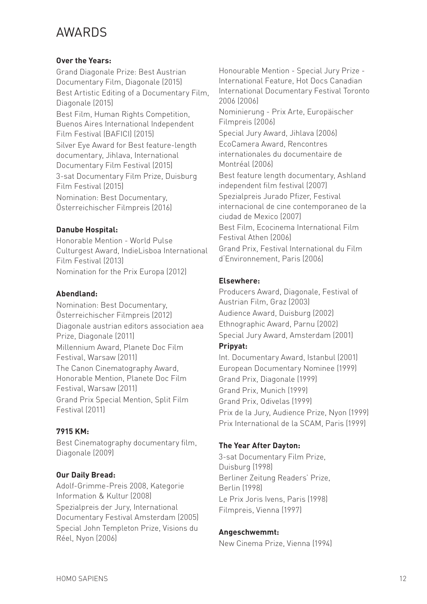# AWARDS

## **Over the Years:**

Grand Diagonale Prize: Best Austrian Documentary Film, Diagonale (2015) Best Artistic Editing of a Documentary Film, Diagonale (2015) Best Film, Human Rights Competition, Buenos Aires International Independent Film Festival (BAFICI) (2015) Silver Eye Award for Best feature-length documentary, Jihlava, International Documentary Film Festival (2015) 3-sat Documentary Film Prize, Duisburg Film Festival (2015) Nomination: Best Documentary, Österreichischer Filmpreis (2016)

## **Danube Hospital:**

Honorable Mention - World Pulse Culturgest Award, IndieLisboa International Film Festival (2013) Nomination for the Prix Europa (2012)

#### **Abendland:**

Nomination: Best Documentary, Österreichischer Filmpreis (2012) Diagonale austrian editors association aea Prize, Diagonale (2011) Millennium Award, Planete Doc Film Festival, Warsaw (2011) The Canon Cinematography Award, Honorable Mention, Planete Doc Film Festival, Warsaw (2011) Grand Prix Special Mention, Split Film Festival (2011)

## **7915 KM:**

Best Cinematography documentary film, Diagonale (2009)

## **Our Daily Bread:**

Adolf-Grimme-Preis 2008, Kategorie Information & Kultur (2008) Spezialpreis der Jury, International Documentary Festival Amsterdam (2005) Special John Templeton Prize, Visions du Réel, Nyon (2006)

Honourable Mention - Special Jury Prize - International Feature, Hot Docs Canadian International Documentary Festival Toronto 2006 (2006) Nominierung - Prix Arte, Europäischer Filmpreis (2006) Special Jury Award, Jihlava (2006) EcoCamera Award, Rencontres internationales du documentaire de Montréal (2006) Best feature length documentary, Ashland independent film festival (2007) Spezialpreis Jurado Pfizer, Festival internacional de cine contemporaneo de la ciudad de Mexico (2007) Best Film, Ecocinema International Film Festival Athen (2006) Grand Prix, Festival International du Film d'Environnement, Paris (2006)

#### **Elsewhere:**

Producers Award, Diagonale, Festival of Austrian Film, Graz (2003) Audience Award, Duisburg (2002) Ethnographic Award, Parnu (2002) Special Jury Award, Amsterdam (2001)

## **Pripyat:**

Int. Documentary Award, Istanbul (2001) European Documentary Nominee (1999) Grand Prix, Diagonale (1999) Grand Prix, Munich (1999) Grand Prix, Odivelas (1999) Prix de la Jury, Audience Prize, Nyon (1999) Prix International de la SCAM, Paris (1999)

## **The Year After Dayton:**

3-sat Documentary Film Prize, Duisburg (1998) Berliner Zeitung Readers' Prize, Berlin (1998) Le Prix Joris Ivens, Paris (1998) Filmpreis, Vienna (1997)

#### **Angeschwemmt:**

New Cinema Prize, Vienna (1994)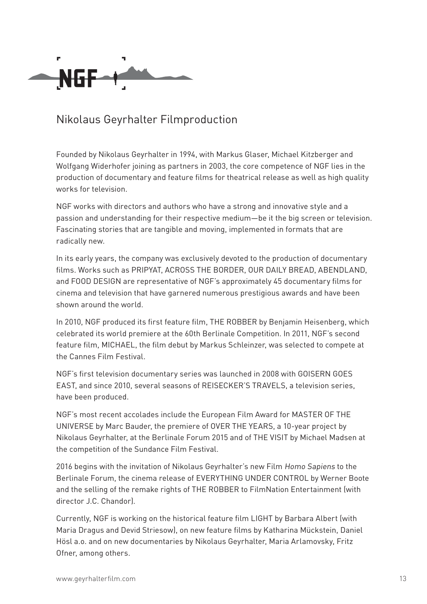

# Nikolaus Geyrhalter Filmproduction

Founded by Nikolaus Geyrhalter in 1994, with Markus Glaser, Michael Kitzberger and Wolfgang Widerhofer joining as partners in 2003, the core competence of NGF lies in the production of documentary and feature films for theatrical release as well as high quality works for television.

NGF works with directors and authors who have a strong and innovative style and a passion and understanding for their respective medium—be it the big screen or television. Fascinating stories that are tangible and moving, implemented in formats that are radically new.

In its early years, the company was exclusively devoted to the production of documentary films. Works such as PRIPYAT, ACROSS THE BORDER, OUR DAILY BREAD, ABENDLAND, and FOOD DESIGN are representative of NGF's approximately 45 documentary films for cinema and television that have garnered numerous prestigious awards and have been shown around the world.

In 2010, NGF produced its first feature film, THE ROBBER by Benjamin Heisenberg, which celebrated its world premiere at the 60th Berlinale Competition. In 2011, NGF's second feature film, MICHAEL, the film debut by Markus Schleinzer, was selected to compete at the Cannes Film Festival.

NGF's first television documentary series was launched in 2008 with GOISERN GOES EAST, and since 2010, several seasons of REISECKER'S TRAVELS, a television series, have been produced.

NGF's most recent accolades include the European Film Award for MASTER OF THE UNIVERSE by Marc Bauder, the premiere of OVER THE YEARS, a 10-year project by Nikolaus Geyrhalter, at the Berlinale Forum 2015 and of THE VISIT by Michael Madsen at the competition of the Sundance Film Festival.

2016 begins with the invitation of Nikolaus Geyrhalter's new Film Homo Sapiens to the Berlinale Forum, the cinema release of EVERYTHING UNDER CONTROL by Werner Boote and the selling of the remake rights of THE ROBBER to FilmNation Entertainment (with director J.C. Chandor).

Currently, NGF is working on the historical feature film LIGHT by Barbara Albert (with Maria Dragus and Devid Striesow), on new feature films by Katharina Mückstein, Daniel Hösl a.o. and on new documentaries by Nikolaus Geyrhalter, Maria Arlamovsky, Fritz Ofner, among others.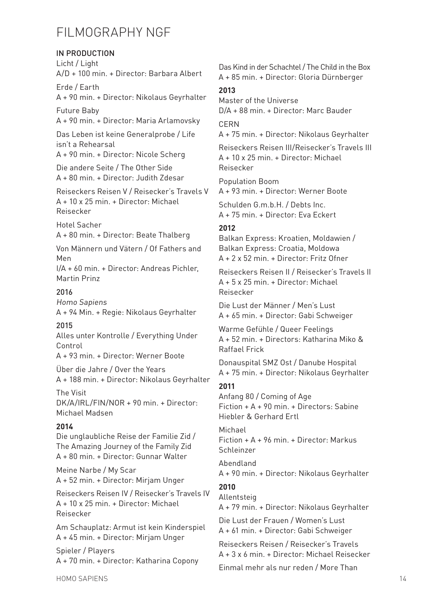# FILMOGRAPHY NGF

# in production

Licht / Light A/D + 100 min. + Director: Barbara Albert

Erde / Earth A + 90 min. + Director: Nikolaus Geyrhalter

Future Baby A + 90 min. + Director: Maria Arlamovsky

Das Leben ist keine Generalprobe / Life isn't a Rehearsal

A + 90 min. + Director: Nicole Scherg

Die andere Seite / The Other Side A + 80 min. + Director: Judith Zdesar

Reiseckers Reisen V / Reisecker's Travels V A + 10 x 25 min. + Director: Michael Reisecker

Hotel Sacher

A + 80 min. + Director: Beate Thalberg

Von Männern und Vätern / Of Fathers and Men

I/A + 60 min. + Director: Andreas Pichler, Martin Prinz

# 2016

Homo Sapiens A + 94 Min. + Regie: Nikolaus Geyrhalter

# 2015

Alles unter Kontrolle / Everything Under Control

A + 93 min. + Director: Werner Boote

Über die Jahre / Over the Years A + 188 min. + Director: Nikolaus Geyrhalter

The Visit DK/A/IRL/FIN/NOR + 90 min. + Director: Michael Madsen

# **2014**

Die unglaubliche Reise der Familie Zid / The Amazing Journey of the Family Zid A + 80 min. + Director: Gunnar Walter

Meine Narbe / My Scar A + 52 min. + Director: Mirjam Unger

Reiseckers Reisen IV / Reisecker's Travels IV A + 10 x 25 min. + Director: Michael Reisecker

Am Schauplatz: Armut ist kein Kinderspiel A + 45 min. + Director: Mirjam Unger

Spieler / Players A + 70 min. + Director: Katharina Copony Das Kind in der Schachtel / The Child in the Box A + 85 min. + Director: Gloria Dürnberger

# **2013**

Master of the Universe D/A + 88 min. + Director: Marc Bauder

**CERN** 

A + 75 min. + Director: Nikolaus Geyrhalter

Reiseckers Reisen III/Reisecker's Travels III  $A + 10 \times 25$  min. + Director: Michael Reisecker

Population Boom A + 93 min. + Director: Werner Boote

Schulden G.m.b.H. / Debts Inc. A + 75 min. + Director: Eva Eckert

# **2012**

Balkan Express: Kroatien, Moldawien / Balkan Express: Croatia, Moldowa  $A + 2x52$  min. + Director: Fritz Ofner

Reiseckers Reisen II / Reisecker's Travels II A + 5 x 25 min. + Director: Michael Reisecker

Die Lust der Männer / Men's Lust A + 65 min. + Director: Gabi Schweiger

Warme Gefühle / Queer Feelings A + 52 min. + Directors: Katharina Miko & Raffael Frick

Donauspital SMZ Ost / Danube Hospital A + 75 min. + Director: Nikolaus Geyrhalter

# **2011**

Anfang 80 / Coming of Age Fiction + A + 90 min. + Directors: Sabine Hiebler & Gerhard Ertl

Michael Fiction + A + 96 min. + Director: Markus Schleinzer

Abendland

A + 90 min. + Director: Nikolaus Geyrhalter

# **2010**

Allentsteig

A + 79 min. + Director: Nikolaus Geyrhalter

Die Lust der Frauen / Women's Lust A + 61 min. + Director: Gabi Schweiger

Reiseckers Reisen / Reisecker's Travels A + 3 x 6 min. + Director: Michael Reisecker

Einmal mehr als nur reden / More Than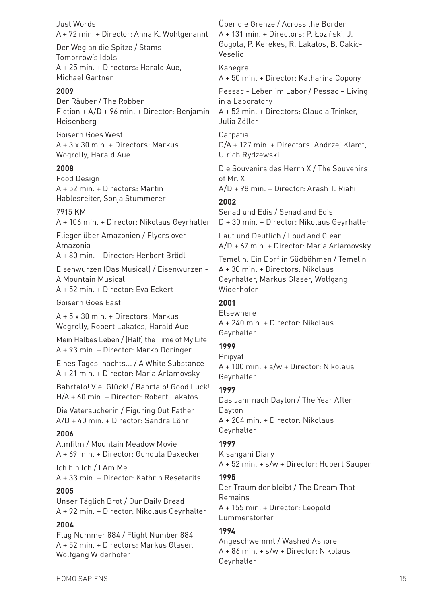Just Words A + 72 min. + Director: Anna K. Wohlgenannt

Der Weg an die Spitze / Stams – Tomorrow's Idols A + 25 min. + Directors: Harald Aue, Michael Gartner

#### **2009**

Der Räuber / The Robber Fiction + A/D + 96 min. + Director: Benjamin Heisenberg

Goisern Goes West A + 3 x 30 min. + Directors: Markus Wogrolly, Harald Aue

#### **2008**

Food Design A + 52 min. + Directors: Martin Hablesreiter, Sonja Stummerer

#### 7915 KM

A + 106 min. + Director: Nikolaus Geyrhalter

Flieger über Amazonien / Flyers over Amazonia A + 80 min. + Director: Herbert Brödl

Eisenwurzen (Das Musical) / Eisenwurzen - A Mountain Musical A + 52 min. + Director: Eva Eckert

Goisern Goes East

A + 5 x 30 min. + Directors: Markus Wogrolly, Robert Lakatos, Harald Aue

Mein Halbes Leben / (Half) the Time of My Life A + 93 min. + Director: Marko Doringer

Eines Tages, nachts... / A White Substance A + 21 min. + Director: Maria Arlamovsky

Bahrtalo! Viel Glück! / Bahrtalo! Good Luck! H/A + 60 min. + Director: Robert Lakatos

Die Vatersucherin / Figuring Out Father A/D + 40 min. + Director: Sandra Löhr

#### **2006**

Almfilm / Mountain Meadow Movie A + 69 min. + Director: Gundula Daxecker

Ich bin Ich / I Am Me A + 33 min. + Director: Kathrin Resetarits

#### **2005**

Unser Täglich Brot / Our Daily Bread A + 92 min. + Director: Nikolaus Geyrhalter

#### **2004**

Flug Nummer 884 / Flight Number 884 A + 52 min. + Directors: Markus Glaser, Wolfgang Widerhofer

Über die Grenze / Across the Border A + 131 min. + Directors: P. Łoziński, J. Gogola, P. Kerekes, R. Lakatos, B. Cakic-Veselic

Kanegra A + 50 min. + Director: Katharina Copony

Pessac - Leben im Labor / Pessac – Living in a Laboratory A + 52 min. + Directors: Claudia Trinker, Julia Zöller

Carpatia D/A + 127 min. + Directors: Andrzej Klamt, Ulrich Rydzewski

Die Souvenirs des Herrn X / The Souvenirs of Mr. X A/D + 98 min. + Director: Arash T. Riahi

#### **2002**

Senad und Edis / Senad and Edis D + 30 min. + Director: Nikolaus Geyrhalter

Laut und Deutlich / Loud and Clear A/D + 67 min. + Director: Maria Arlamovsky

Temelin. Ein Dorf in Südböhmen / Temelin A + 30 min. + Directors: Nikolaus Geyrhalter, Markus Glaser, Wolfgang Widerhofer

#### **2001**

Elsewhere A + 240 min. + Director: Nikolaus Geyrhalter

#### **1999**

Pripyat A + 100 min. + s/w + Director: Nikolaus Geyrhalter

#### **1997**

Das Jahr nach Dayton / The Year After Dayton A + 204 min. + Director: Nikolaus Geyrhalter

#### **1997**

Kisangani Diary A + 52 min. + s/w + Director: Hubert Sauper

#### **1995**

Der Traum der bleibt / The Dream That Remains A + 155 min. + Director: Leopold Lummerstorfer

#### **1994**

Angeschwemmt / Washed Ashore A + 86 min. + s/w + Director: Nikolaus Geyrhalter